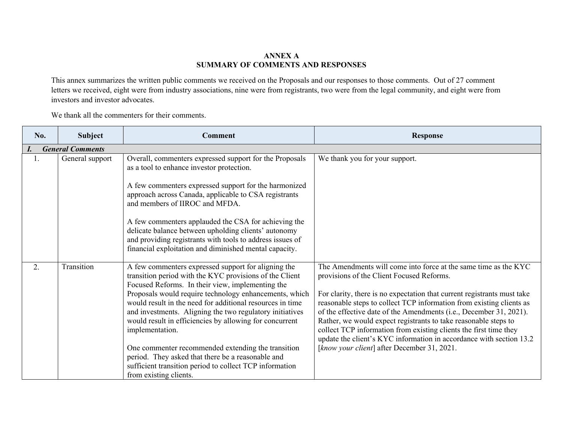## **ANNEX A SUMMARY OF COMMENTS AND RESPONSES**

This annex summarizes the written public comments we received on the Proposals and our responses to those comments. Out of 27 comment letters we received, eight were from industry associations, nine were from registrants, two were from the legal community, and eight were from investors and investor advocates.

We thank all the commenters for their comments.

| No. | <b>Subject</b>          | <b>Comment</b>                                                                                                                                                                                                                                                                                                                                                                                                                                                                                                                                                                                                                      | <b>Response</b>                                                                                                                                                                                                                                                                                                                                                                                                                                                                                                                                                                                     |
|-----|-------------------------|-------------------------------------------------------------------------------------------------------------------------------------------------------------------------------------------------------------------------------------------------------------------------------------------------------------------------------------------------------------------------------------------------------------------------------------------------------------------------------------------------------------------------------------------------------------------------------------------------------------------------------------|-----------------------------------------------------------------------------------------------------------------------------------------------------------------------------------------------------------------------------------------------------------------------------------------------------------------------------------------------------------------------------------------------------------------------------------------------------------------------------------------------------------------------------------------------------------------------------------------------------|
|     | <b>General Comments</b> |                                                                                                                                                                                                                                                                                                                                                                                                                                                                                                                                                                                                                                     |                                                                                                                                                                                                                                                                                                                                                                                                                                                                                                                                                                                                     |
| Ι.  | General support         | Overall, commenters expressed support for the Proposals<br>as a tool to enhance investor protection.                                                                                                                                                                                                                                                                                                                                                                                                                                                                                                                                | We thank you for your support.                                                                                                                                                                                                                                                                                                                                                                                                                                                                                                                                                                      |
|     |                         | A few commenters expressed support for the harmonized<br>approach across Canada, applicable to CSA registrants<br>and members of IIROC and MFDA.                                                                                                                                                                                                                                                                                                                                                                                                                                                                                    |                                                                                                                                                                                                                                                                                                                                                                                                                                                                                                                                                                                                     |
|     |                         | A few commenters applauded the CSA for achieving the<br>delicate balance between upholding clients' autonomy<br>and providing registrants with tools to address issues of<br>financial exploitation and diminished mental capacity.                                                                                                                                                                                                                                                                                                                                                                                                 |                                                                                                                                                                                                                                                                                                                                                                                                                                                                                                                                                                                                     |
| 2.  | Transition              | A few commenters expressed support for aligning the<br>transition period with the KYC provisions of the Client<br>Focused Reforms. In their view, implementing the<br>Proposals would require technology enhancements, which<br>would result in the need for additional resources in time<br>and investments. Aligning the two regulatory initiatives<br>would result in efficiencies by allowing for concurrent<br>implementation.<br>One commenter recommended extending the transition<br>period. They asked that there be a reasonable and<br>sufficient transition period to collect TCP information<br>from existing clients. | The Amendments will come into force at the same time as the KYC<br>provisions of the Client Focused Reforms.<br>For clarity, there is no expectation that current registrants must take<br>reasonable steps to collect TCP information from existing clients as<br>of the effective date of the Amendments (i.e., December 31, 2021).<br>Rather, we would expect registrants to take reasonable steps to<br>collect TCP information from existing clients the first time they<br>update the client's KYC information in accordance with section 13.2<br>[know your client] after December 31, 2021. |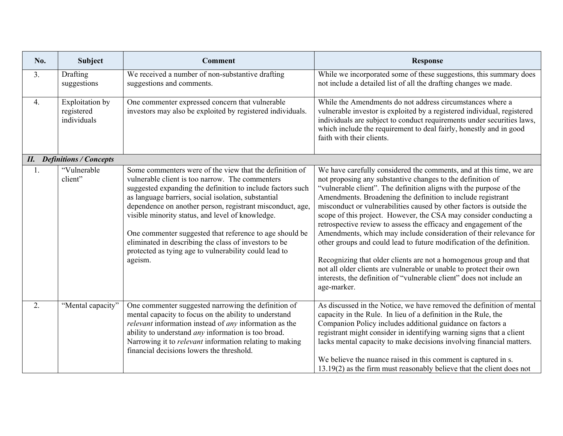| No.              | <b>Subject</b>                                      | <b>Comment</b>                                                                                                                                                                                                                                                                                                                                                                                                                                                                                                                           | <b>Response</b>                                                                                                                                                                                                                                                                                                                                                                                                                                                                                                                                                                                                                                                                                                                                                                                                                                                             |
|------------------|-----------------------------------------------------|------------------------------------------------------------------------------------------------------------------------------------------------------------------------------------------------------------------------------------------------------------------------------------------------------------------------------------------------------------------------------------------------------------------------------------------------------------------------------------------------------------------------------------------|-----------------------------------------------------------------------------------------------------------------------------------------------------------------------------------------------------------------------------------------------------------------------------------------------------------------------------------------------------------------------------------------------------------------------------------------------------------------------------------------------------------------------------------------------------------------------------------------------------------------------------------------------------------------------------------------------------------------------------------------------------------------------------------------------------------------------------------------------------------------------------|
| 3.               | Drafting<br>suggestions                             | We received a number of non-substantive drafting<br>suggestions and comments.                                                                                                                                                                                                                                                                                                                                                                                                                                                            | While we incorporated some of these suggestions, this summary does<br>not include a detailed list of all the drafting changes we made.                                                                                                                                                                                                                                                                                                                                                                                                                                                                                                                                                                                                                                                                                                                                      |
| $\overline{4}$ . | <b>Exploitation</b> by<br>registered<br>individuals | One commenter expressed concern that vulnerable<br>investors may also be exploited by registered individuals.                                                                                                                                                                                                                                                                                                                                                                                                                            | While the Amendments do not address circumstances where a<br>vulnerable investor is exploited by a registered individual, registered<br>individuals are subject to conduct requirements under securities laws,<br>which include the requirement to deal fairly, honestly and in good<br>faith with their clients.                                                                                                                                                                                                                                                                                                                                                                                                                                                                                                                                                           |
|                  | <b>II.</b> Definitions / Concepts                   |                                                                                                                                                                                                                                                                                                                                                                                                                                                                                                                                          |                                                                                                                                                                                                                                                                                                                                                                                                                                                                                                                                                                                                                                                                                                                                                                                                                                                                             |
| 1.               | "Vulnerable<br>client"                              | Some commenters were of the view that the definition of<br>vulnerable client is too narrow. The commenters<br>suggested expanding the definition to include factors such<br>as language barriers, social isolation, substantial<br>dependence on another person, registrant misconduct, age,<br>visible minority status, and level of knowledge.<br>One commenter suggested that reference to age should be<br>eliminated in describing the class of investors to be<br>protected as tying age to vulnerability could lead to<br>ageism. | We have carefully considered the comments, and at this time, we are<br>not proposing any substantive changes to the definition of<br>"vulnerable client". The definition aligns with the purpose of the<br>Amendments. Broadening the definition to include registrant<br>misconduct or vulnerabilities caused by other factors is outside the<br>scope of this project. However, the CSA may consider conducting a<br>retrospective review to assess the efficacy and engagement of the<br>Amendments, which may include consideration of their relevance for<br>other groups and could lead to future modification of the definition.<br>Recognizing that older clients are not a homogenous group and that<br>not all older clients are vulnerable or unable to protect their own<br>interests, the definition of "vulnerable client" does not include an<br>age-marker. |
| 2.               | "Mental capacity"                                   | One commenter suggested narrowing the definition of<br>mental capacity to focus on the ability to understand<br>relevant information instead of any information as the<br>ability to understand any information is too broad.<br>Narrowing it to <i>relevant</i> information relating to making<br>financial decisions lowers the threshold.                                                                                                                                                                                             | As discussed in the Notice, we have removed the definition of mental<br>capacity in the Rule. In lieu of a definition in the Rule, the<br>Companion Policy includes additional guidance on factors a<br>registrant might consider in identifying warning signs that a client<br>lacks mental capacity to make decisions involving financial matters.<br>We believe the nuance raised in this comment is captured in s.<br>$13.19(2)$ as the firm must reasonably believe that the client does not                                                                                                                                                                                                                                                                                                                                                                           |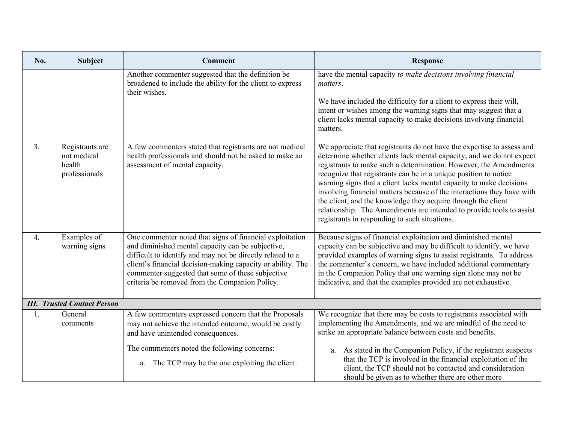| No.              | <b>Subject</b>                                            | <b>Comment</b>                                                                                                                                                                                                                                                                                                                                    | <b>Response</b>                                                                                                                                                                                                                                                                                                                                                                                                                                                                                                                                                                                                                    |
|------------------|-----------------------------------------------------------|---------------------------------------------------------------------------------------------------------------------------------------------------------------------------------------------------------------------------------------------------------------------------------------------------------------------------------------------------|------------------------------------------------------------------------------------------------------------------------------------------------------------------------------------------------------------------------------------------------------------------------------------------------------------------------------------------------------------------------------------------------------------------------------------------------------------------------------------------------------------------------------------------------------------------------------------------------------------------------------------|
|                  |                                                           | Another commenter suggested that the definition be<br>broadened to include the ability for the client to express<br>their wishes.                                                                                                                                                                                                                 | have the mental capacity to make decisions involving financial<br>matters.<br>We have included the difficulty for a client to express their will,<br>intent or wishes among the warning signs that may suggest that a<br>client lacks mental capacity to make decisions involving financial<br>matters.                                                                                                                                                                                                                                                                                                                            |
| 3.               | Registrants are<br>not medical<br>health<br>professionals | A few commenters stated that registrants are not medical<br>health professionals and should not be asked to make an<br>assessment of mental capacity.                                                                                                                                                                                             | We appreciate that registrants do not have the expertise to assess and<br>determine whether clients lack mental capacity, and we do not expect<br>registrants to make such a determination. However, the Amendments<br>recognize that registrants can be in a unique position to notice<br>warning signs that a client lacks mental capacity to make decisions<br>involving financial matters because of the interactions they have with<br>the client, and the knowledge they acquire through the client<br>relationship. The Amendments are intended to provide tools to assist<br>registrants in responding to such situations. |
| $\overline{4}$ . | Examples of<br>warning signs                              | One commenter noted that signs of financial exploitation<br>and diminished mental capacity can be subjective,<br>difficult to identify and may not be directly related to a<br>client's financial decision-making capacity or ability. The<br>commenter suggested that some of these subjective<br>criteria be removed from the Companion Policy. | Because signs of financial exploitation and diminished mental<br>capacity can be subjective and may be difficult to identify, we have<br>provided examples of warning signs to assist registrants. To address<br>the commenter's concern, we have included additional commentary<br>in the Companion Policy that one warning sign alone may not be<br>indicative, and that the examples provided are not exhaustive.                                                                                                                                                                                                               |
|                  | <b>III.</b> Trusted Contact Person                        |                                                                                                                                                                                                                                                                                                                                                   |                                                                                                                                                                                                                                                                                                                                                                                                                                                                                                                                                                                                                                    |
| 1.               | General<br>comments                                       | A few commenters expressed concern that the Proposals<br>may not achieve the intended outcome, would be costly<br>and have unintended consequences.<br>The commenters noted the following concerns:                                                                                                                                               | We recognize that there may be costs to registrants associated with<br>implementing the Amendments, and we are mindful of the need to<br>strike an appropriate balance between costs and benefits.<br>As stated in the Companion Policy, if the registrant suspects<br>a.                                                                                                                                                                                                                                                                                                                                                          |
|                  |                                                           | a. The TCP may be the one exploiting the client.                                                                                                                                                                                                                                                                                                  | that the TCP is involved in the financial exploitation of the<br>client, the TCP should not be contacted and consideration<br>should be given as to whether there are other more                                                                                                                                                                                                                                                                                                                                                                                                                                                   |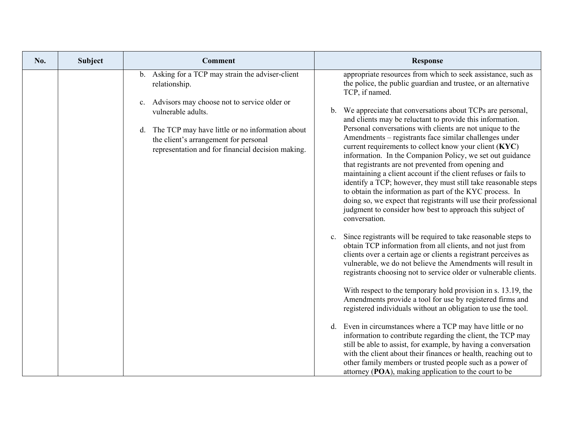| No. | <b>Subject</b> | <b>Comment</b>                                                                                                                                   | <b>Response</b>                                                                                                                                                                                                                                                                                                                                                                                                                                                                                                                                                                                                                                     |
|-----|----------------|--------------------------------------------------------------------------------------------------------------------------------------------------|-----------------------------------------------------------------------------------------------------------------------------------------------------------------------------------------------------------------------------------------------------------------------------------------------------------------------------------------------------------------------------------------------------------------------------------------------------------------------------------------------------------------------------------------------------------------------------------------------------------------------------------------------------|
|     |                | b. Asking for a TCP may strain the adviser-client<br>relationship.                                                                               | appropriate resources from which to seek assistance, such as<br>the police, the public guardian and trustee, or an alternative<br>TCP, if named.                                                                                                                                                                                                                                                                                                                                                                                                                                                                                                    |
|     |                | c. Advisors may choose not to service older or<br>vulnerable adults.                                                                             | We appreciate that conversations about TCPs are personal,<br>b.<br>and clients may be reluctant to provide this information.                                                                                                                                                                                                                                                                                                                                                                                                                                                                                                                        |
|     |                | d. The TCP may have little or no information about<br>the client's arrangement for personal<br>representation and for financial decision making. | Personal conversations with clients are not unique to the<br>Amendments – registrants face similar challenges under<br>current requirements to collect know your client (KYC)<br>information. In the Companion Policy, we set out guidance<br>that registrants are not prevented from opening and<br>maintaining a client account if the client refuses or fails to<br>identify a TCP; however, they must still take reasonable steps<br>to obtain the information as part of the KYC process. In<br>doing so, we expect that registrants will use their professional<br>judgment to consider how best to approach this subject of<br>conversation. |
|     |                |                                                                                                                                                  | Since registrants will be required to take reasonable steps to<br>c.<br>obtain TCP information from all clients, and not just from<br>clients over a certain age or clients a registrant perceives as<br>vulnerable, we do not believe the Amendments will result in<br>registrants choosing not to service older or vulnerable clients.                                                                                                                                                                                                                                                                                                            |
|     |                |                                                                                                                                                  | With respect to the temporary hold provision in s. 13.19, the<br>Amendments provide a tool for use by registered firms and<br>registered individuals without an obligation to use the tool.                                                                                                                                                                                                                                                                                                                                                                                                                                                         |
|     |                |                                                                                                                                                  | d. Even in circumstances where a TCP may have little or no<br>information to contribute regarding the client, the TCP may<br>still be able to assist, for example, by having a conversation<br>with the client about their finances or health, reaching out to<br>other family members or trusted people such as a power of<br>attorney (POA), making application to the court to be                                                                                                                                                                                                                                                                |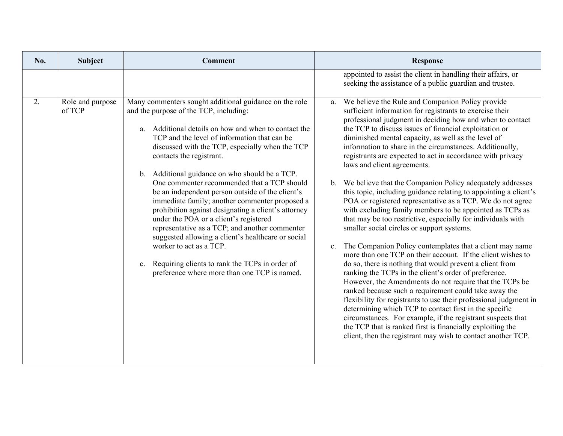| No. | <b>Subject</b>             | <b>Comment</b>                                                                                                                                                                                                                                                                                                                                                                                                                                                                                                                                                                                                                                                                                                                                                                                                                                         | <b>Response</b>                                                                                                                                                                                                                                                                                                                                                                                                                                                                                                                                                                                                                                                                                                                                                                                                                                                                                                                                                                                                                                                                                                                                                                                                                                                                                                                                                                                                                                                                                                                                      |
|-----|----------------------------|--------------------------------------------------------------------------------------------------------------------------------------------------------------------------------------------------------------------------------------------------------------------------------------------------------------------------------------------------------------------------------------------------------------------------------------------------------------------------------------------------------------------------------------------------------------------------------------------------------------------------------------------------------------------------------------------------------------------------------------------------------------------------------------------------------------------------------------------------------|------------------------------------------------------------------------------------------------------------------------------------------------------------------------------------------------------------------------------------------------------------------------------------------------------------------------------------------------------------------------------------------------------------------------------------------------------------------------------------------------------------------------------------------------------------------------------------------------------------------------------------------------------------------------------------------------------------------------------------------------------------------------------------------------------------------------------------------------------------------------------------------------------------------------------------------------------------------------------------------------------------------------------------------------------------------------------------------------------------------------------------------------------------------------------------------------------------------------------------------------------------------------------------------------------------------------------------------------------------------------------------------------------------------------------------------------------------------------------------------------------------------------------------------------------|
|     |                            |                                                                                                                                                                                                                                                                                                                                                                                                                                                                                                                                                                                                                                                                                                                                                                                                                                                        | appointed to assist the client in handling their affairs, or<br>seeking the assistance of a public guardian and trustee.                                                                                                                                                                                                                                                                                                                                                                                                                                                                                                                                                                                                                                                                                                                                                                                                                                                                                                                                                                                                                                                                                                                                                                                                                                                                                                                                                                                                                             |
| 2.  | Role and purpose<br>of TCP | Many commenters sought additional guidance on the role<br>and the purpose of the TCP, including:<br>Additional details on how and when to contact the<br>a.<br>TCP and the level of information that can be<br>discussed with the TCP, especially when the TCP<br>contacts the registrant.<br>b. Additional guidance on who should be a TCP.<br>One commenter recommended that a TCP should<br>be an independent person outside of the client's<br>immediate family; another commenter proposed a<br>prohibition against designating a client's attorney<br>under the POA or a client's registered<br>representative as a TCP; and another commenter<br>suggested allowing a client's healthcare or social<br>worker to act as a TCP.<br>Requiring clients to rank the TCPs in order of<br>$c_{\cdot}$<br>preference where more than one TCP is named. | a. We believe the Rule and Companion Policy provide<br>sufficient information for registrants to exercise their<br>professional judgment in deciding how and when to contact<br>the TCP to discuss issues of financial exploitation or<br>diminished mental capacity, as well as the level of<br>information to share in the circumstances. Additionally,<br>registrants are expected to act in accordance with privacy<br>laws and client agreements.<br>b. We believe that the Companion Policy adequately addresses<br>this topic, including guidance relating to appointing a client's<br>POA or registered representative as a TCP. We do not agree<br>with excluding family members to be appointed as TCPs as<br>that may be too restrictive, especially for individuals with<br>smaller social circles or support systems.<br>The Companion Policy contemplates that a client may name<br>$\mathbf{c}$ .<br>more than one TCP on their account. If the client wishes to<br>do so, there is nothing that would prevent a client from<br>ranking the TCPs in the client's order of preference.<br>However, the Amendments do not require that the TCPs be<br>ranked because such a requirement could take away the<br>flexibility for registrants to use their professional judgment in<br>determining which TCP to contact first in the specific<br>circumstances. For example, if the registrant suspects that<br>the TCP that is ranked first is financially exploiting the<br>client, then the registrant may wish to contact another TCP. |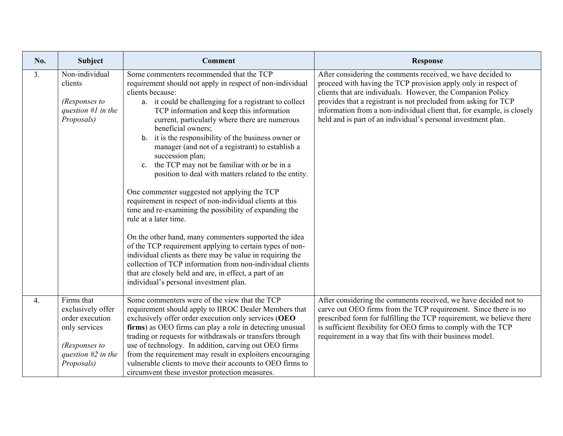| No. | Subject                                                                                                                    | <b>Comment</b>                                                                                                                                                                                                                                                                                                                                                                                                                                                                                                                                                                                                                                                                                                                                                                                                                                                                                                                                                                                                                                                                                          | <b>Response</b>                                                                                                                                                                                                                                                                                                                                                                                            |
|-----|----------------------------------------------------------------------------------------------------------------------------|---------------------------------------------------------------------------------------------------------------------------------------------------------------------------------------------------------------------------------------------------------------------------------------------------------------------------------------------------------------------------------------------------------------------------------------------------------------------------------------------------------------------------------------------------------------------------------------------------------------------------------------------------------------------------------------------------------------------------------------------------------------------------------------------------------------------------------------------------------------------------------------------------------------------------------------------------------------------------------------------------------------------------------------------------------------------------------------------------------|------------------------------------------------------------------------------------------------------------------------------------------------------------------------------------------------------------------------------------------------------------------------------------------------------------------------------------------------------------------------------------------------------------|
| 3.  | Non-individual<br>clients<br>(Responses to<br>question $#I$ in the<br>Proposals)                                           | Some commenters recommended that the TCP<br>requirement should not apply in respect of non-individual<br>clients because:<br>a. it could be challenging for a registrant to collect<br>TCP information and keep this information<br>current, particularly where there are numerous<br>beneficial owners;<br>b. it is the responsibility of the business owner or<br>manager (and not of a registrant) to establish a<br>succession plan;<br>the TCP may not be familiar with or be in a<br>c.<br>position to deal with matters related to the entity.<br>One commenter suggested not applying the TCP<br>requirement in respect of non-individual clients at this<br>time and re-examining the possibility of expanding the<br>rule at a later time.<br>On the other hand, many commenters supported the idea<br>of the TCP requirement applying to certain types of non-<br>individual clients as there may be value in requiring the<br>collection of TCP information from non-individual clients<br>that are closely held and are, in effect, a part of an<br>individual's personal investment plan. | After considering the comments received, we have decided to<br>proceed with having the TCP provision apply only in respect of<br>clients that are individuals. However, the Companion Policy<br>provides that a registrant is not precluded from asking for TCP<br>information from a non-individual client that, for example, is closely<br>held and is part of an individual's personal investment plan. |
| 4.  | Firms that<br>exclusively offer<br>order execution<br>only services<br>(Responses to<br>question $#2$ in the<br>Proposals) | Some commenters were of the view that the TCP<br>requirement should apply to IIROC Dealer Members that<br>exclusively offer order execution only services (OEO<br>firms) as OEO firms can play a role in detecting unusual<br>trading or requests for withdrawals or transfers through<br>use of technology. In addition, carving out OEO firms<br>from the requirement may result in exploiters encouraging<br>vulnerable clients to move their accounts to OEO firms to<br>circumvent these investor protection measures.                                                                                                                                                                                                                                                                                                                                                                                                                                                                                                                                                                             | After considering the comments received, we have decided not to<br>carve out OEO firms from the TCP requirement. Since there is no<br>prescribed form for fulfilling the TCP requirement, we believe there<br>is sufficient flexibility for OEO firms to comply with the TCP<br>requirement in a way that fits with their business model.                                                                  |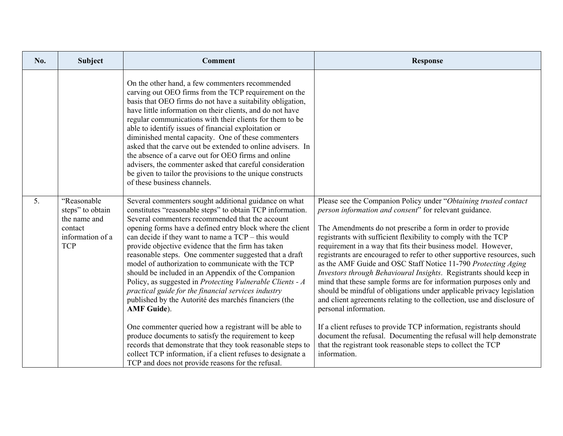| No. | Subject                                                                                      | <b>Comment</b>                                                                                                                                                                                                                                                                                                                                                                                                                                                                                                                                                                                                                                                                                                                                                                                                                                                                                                                                                                                                                 | <b>Response</b>                                                                                                                                                                                                                                                                                                                                                                                                                                                                                                                                                                                                                                                                                                                                                                                                                                                                                                                                                                                                               |
|-----|----------------------------------------------------------------------------------------------|--------------------------------------------------------------------------------------------------------------------------------------------------------------------------------------------------------------------------------------------------------------------------------------------------------------------------------------------------------------------------------------------------------------------------------------------------------------------------------------------------------------------------------------------------------------------------------------------------------------------------------------------------------------------------------------------------------------------------------------------------------------------------------------------------------------------------------------------------------------------------------------------------------------------------------------------------------------------------------------------------------------------------------|-------------------------------------------------------------------------------------------------------------------------------------------------------------------------------------------------------------------------------------------------------------------------------------------------------------------------------------------------------------------------------------------------------------------------------------------------------------------------------------------------------------------------------------------------------------------------------------------------------------------------------------------------------------------------------------------------------------------------------------------------------------------------------------------------------------------------------------------------------------------------------------------------------------------------------------------------------------------------------------------------------------------------------|
|     |                                                                                              | On the other hand, a few commenters recommended<br>carving out OEO firms from the TCP requirement on the<br>basis that OEO firms do not have a suitability obligation,<br>have little information on their clients, and do not have<br>regular communications with their clients for them to be<br>able to identify issues of financial exploitation or<br>diminished mental capacity. One of these commenters<br>asked that the carve out be extended to online advisers. In<br>the absence of a carve out for OEO firms and online<br>advisers, the commenter asked that careful consideration<br>be given to tailor the provisions to the unique constructs<br>of these business channels.                                                                                                                                                                                                                                                                                                                                  |                                                                                                                                                                                                                                                                                                                                                                                                                                                                                                                                                                                                                                                                                                                                                                                                                                                                                                                                                                                                                               |
| 5.  | "Reasonable<br>steps" to obtain<br>the name and<br>contact<br>information of a<br><b>TCP</b> | Several commenters sought additional guidance on what<br>constitutes "reasonable steps" to obtain TCP information.<br>Several commenters recommended that the account<br>opening forms have a defined entry block where the client<br>can decide if they want to name a $TCP - this$ would<br>provide objective evidence that the firm has taken<br>reasonable steps. One commenter suggested that a draft<br>model of authorization to communicate with the TCP<br>should be included in an Appendix of the Companion<br>Policy, as suggested in Protecting Vulnerable Clients - A<br>practical guide for the financial services industry<br>published by the Autorité des marchés financiers (the<br><b>AMF</b> Guide).<br>One commenter queried how a registrant will be able to<br>produce documents to satisfy the requirement to keep<br>records that demonstrate that they took reasonable steps to<br>collect TCP information, if a client refuses to designate a<br>TCP and does not provide reasons for the refusal. | Please see the Companion Policy under "Obtaining trusted contact<br>person information and consent" for relevant guidance.<br>The Amendments do not prescribe a form in order to provide<br>registrants with sufficient flexibility to comply with the TCP<br>requirement in a way that fits their business model. However,<br>registrants are encouraged to refer to other supportive resources, such<br>as the AMF Guide and OSC Staff Notice 11-790 Protecting Aging<br>Investors through Behavioural Insights. Registrants should keep in<br>mind that these sample forms are for information purposes only and<br>should be mindful of obligations under applicable privacy legislation<br>and client agreements relating to the collection, use and disclosure of<br>personal information.<br>If a client refuses to provide TCP information, registrants should<br>document the refusal. Documenting the refusal will help demonstrate<br>that the registrant took reasonable steps to collect the TCP<br>information. |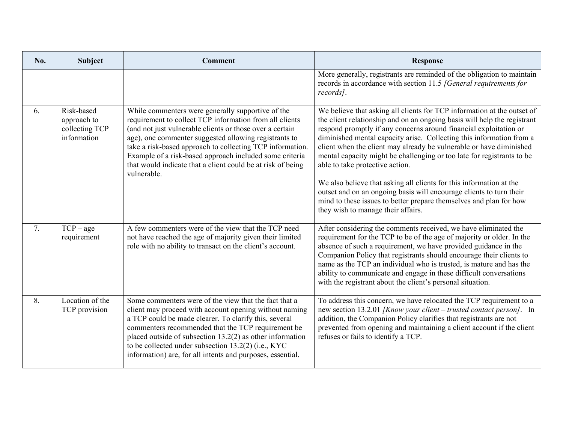| No. | Subject                                                    | <b>Comment</b>                                                                                                                                                                                                                                                                                                                                                                                                                          | <b>Response</b>                                                                                                                                                                                                                                                                                                                                                                                                                                                                                                                                                                                                                                                                                                                                |
|-----|------------------------------------------------------------|-----------------------------------------------------------------------------------------------------------------------------------------------------------------------------------------------------------------------------------------------------------------------------------------------------------------------------------------------------------------------------------------------------------------------------------------|------------------------------------------------------------------------------------------------------------------------------------------------------------------------------------------------------------------------------------------------------------------------------------------------------------------------------------------------------------------------------------------------------------------------------------------------------------------------------------------------------------------------------------------------------------------------------------------------------------------------------------------------------------------------------------------------------------------------------------------------|
|     |                                                            |                                                                                                                                                                                                                                                                                                                                                                                                                                         | More generally, registrants are reminded of the obligation to maintain<br>records in accordance with section 11.5 [General requirements for<br>records].                                                                                                                                                                                                                                                                                                                                                                                                                                                                                                                                                                                       |
| 6.  | Risk-based<br>approach to<br>collecting TCP<br>information | While commenters were generally supportive of the<br>requirement to collect TCP information from all clients<br>(and not just vulnerable clients or those over a certain<br>age), one commenter suggested allowing registrants to<br>take a risk-based approach to collecting TCP information.<br>Example of a risk-based approach included some criteria<br>that would indicate that a client could be at risk of being<br>vulnerable. | We believe that asking all clients for TCP information at the outset of<br>the client relationship and on an ongoing basis will help the registrant<br>respond promptly if any concerns around financial exploitation or<br>diminished mental capacity arise. Collecting this information from a<br>client when the client may already be vulnerable or have diminished<br>mental capacity might be challenging or too late for registrants to be<br>able to take protective action.<br>We also believe that asking all clients for this information at the<br>outset and on an ongoing basis will encourage clients to turn their<br>mind to these issues to better prepare themselves and plan for how<br>they wish to manage their affairs. |
| 7.  | $TCP - age$<br>requirement                                 | A few commenters were of the view that the TCP need<br>not have reached the age of majority given their limited<br>role with no ability to transact on the client's account.                                                                                                                                                                                                                                                            | After considering the comments received, we have eliminated the<br>requirement for the TCP to be of the age of majority or older. In the<br>absence of such a requirement, we have provided guidance in the<br>Companion Policy that registrants should encourage their clients to<br>name as the TCP an individual who is trusted, is mature and has the<br>ability to communicate and engage in these difficult conversations<br>with the registrant about the client's personal situation.                                                                                                                                                                                                                                                  |
| 8.  | Location of the<br>TCP provision                           | Some commenters were of the view that the fact that a<br>client may proceed with account opening without naming<br>a TCP could be made clearer. To clarify this, several<br>commenters recommended that the TCP requirement be<br>placed outside of subsection $13.2(2)$ as other information<br>to be collected under subsection 13.2(2) (i.e., KYC<br>information) are, for all intents and purposes, essential.                      | To address this concern, we have relocated the TCP requirement to a<br>new section 13.2.01 [Know your client - trusted contact person]. In<br>addition, the Companion Policy clarifies that registrants are not<br>prevented from opening and maintaining a client account if the client<br>refuses or fails to identify a TCP.                                                                                                                                                                                                                                                                                                                                                                                                                |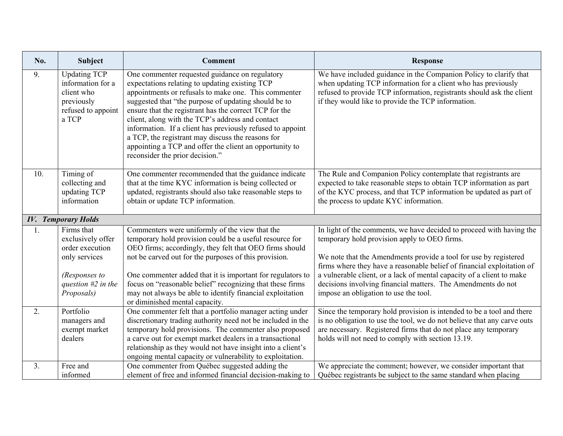| No. | <b>Subject</b>                                                                                      | <b>Comment</b>                                                                                                                                                                                                                                                                                                                                                                                                                                                                                                                                  | <b>Response</b>                                                                                                                                                                                                                                                          |
|-----|-----------------------------------------------------------------------------------------------------|-------------------------------------------------------------------------------------------------------------------------------------------------------------------------------------------------------------------------------------------------------------------------------------------------------------------------------------------------------------------------------------------------------------------------------------------------------------------------------------------------------------------------------------------------|--------------------------------------------------------------------------------------------------------------------------------------------------------------------------------------------------------------------------------------------------------------------------|
| 9.  | <b>Updating TCP</b><br>information for a<br>client who<br>previously<br>refused to appoint<br>a TCP | One commenter requested guidance on regulatory<br>expectations relating to updating existing TCP<br>appointments or refusals to make one. This commenter<br>suggested that "the purpose of updating should be to<br>ensure that the registrant has the correct TCP for the<br>client, along with the TCP's address and contact<br>information. If a client has previously refused to appoint<br>a TCP, the registrant may discuss the reasons for<br>appointing a TCP and offer the client an opportunity to<br>reconsider the prior decision." | We have included guidance in the Companion Policy to clarify that<br>when updating TCP information for a client who has previously<br>refused to provide TCP information, registrants should ask the client<br>if they would like to provide the TCP information.        |
| 10. | Timing of<br>collecting and<br>updating TCP<br>information                                          | One commenter recommended that the guidance indicate<br>that at the time KYC information is being collected or<br>updated, registrants should also take reasonable steps to<br>obtain or update TCP information.                                                                                                                                                                                                                                                                                                                                | The Rule and Companion Policy contemplate that registrants are<br>expected to take reasonable steps to obtain TCP information as part<br>of the KYC process, and that TCP information be updated as part of<br>the process to update KYC information.                    |
|     | <b>IV.</b> Temporary Holds                                                                          |                                                                                                                                                                                                                                                                                                                                                                                                                                                                                                                                                 |                                                                                                                                                                                                                                                                          |
| 1.  | Firms that<br>exclusively offer<br>order execution<br>only services                                 | Commenters were uniformly of the view that the<br>temporary hold provision could be a useful resource for<br>OEO firms; accordingly, they felt that OEO firms should<br>not be carved out for the purposes of this provision.                                                                                                                                                                                                                                                                                                                   | In light of the comments, we have decided to proceed with having the<br>temporary hold provision apply to OEO firms.<br>We note that the Amendments provide a tool for use by registered<br>firms where they have a reasonable belief of financial exploitation of       |
|     | (Responses to<br>question $#2$ in the<br>Proposals)                                                 | One commenter added that it is important for regulators to<br>focus on "reasonable belief" recognizing that these firms<br>may not always be able to identify financial exploitation<br>or diminished mental capacity.                                                                                                                                                                                                                                                                                                                          | a vulnerable client, or a lack of mental capacity of a client to make<br>decisions involving financial matters. The Amendments do not<br>impose an obligation to use the tool.                                                                                           |
| 2.  | Portfolio<br>managers and<br>exempt market<br>dealers                                               | One commenter felt that a portfolio manager acting under<br>discretionary trading authority need not be included in the<br>temporary hold provisions. The commenter also proposed<br>a carve out for exempt market dealers in a transactional<br>relationship as they would not have insight into a client's<br>ongoing mental capacity or vulnerability to exploitation.                                                                                                                                                                       | Since the temporary hold provision is intended to be a tool and there<br>is no obligation to use the tool, we do not believe that any carve outs<br>are necessary. Registered firms that do not place any temporary<br>holds will not need to comply with section 13.19. |
| 3.  | Free and<br>informed                                                                                | One commenter from Québec suggested adding the<br>element of free and informed financial decision-making to                                                                                                                                                                                                                                                                                                                                                                                                                                     | We appreciate the comment; however, we consider important that<br>Québec registrants be subject to the same standard when placing                                                                                                                                        |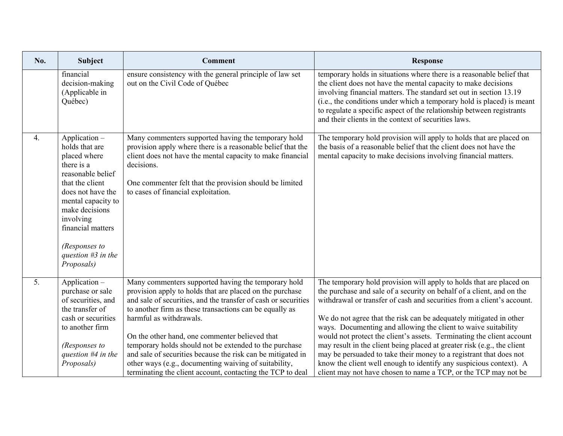| No.              | Subject                                                                                                                                                                                                                                                     | <b>Comment</b>                                                                                                                                                                                                                                                                                                                                                                                                                                                                                                                                                            | <b>Response</b>                                                                                                                                                                                                                                                                                                                                                                                                                                                                                                                                                                                                                                                                                                                   |
|------------------|-------------------------------------------------------------------------------------------------------------------------------------------------------------------------------------------------------------------------------------------------------------|---------------------------------------------------------------------------------------------------------------------------------------------------------------------------------------------------------------------------------------------------------------------------------------------------------------------------------------------------------------------------------------------------------------------------------------------------------------------------------------------------------------------------------------------------------------------------|-----------------------------------------------------------------------------------------------------------------------------------------------------------------------------------------------------------------------------------------------------------------------------------------------------------------------------------------------------------------------------------------------------------------------------------------------------------------------------------------------------------------------------------------------------------------------------------------------------------------------------------------------------------------------------------------------------------------------------------|
|                  | financial<br>decision-making<br>(Applicable in<br>Québec)                                                                                                                                                                                                   | ensure consistency with the general principle of law set<br>out on the Civil Code of Québec                                                                                                                                                                                                                                                                                                                                                                                                                                                                               | temporary holds in situations where there is a reasonable belief that<br>the client does not have the mental capacity to make decisions<br>involving financial matters. The standard set out in section 13.19<br>(i.e., the conditions under which a temporary hold is placed) is meant<br>to regulate a specific aspect of the relationship between registrants<br>and their clients in the context of securities laws.                                                                                                                                                                                                                                                                                                          |
| 4.               | Application -<br>holds that are<br>placed where<br>there is a<br>reasonable belief<br>that the client<br>does not have the<br>mental capacity to<br>make decisions<br>involving<br>financial matters<br>(Responses to<br>question $#3$ in the<br>Proposals) | Many commenters supported having the temporary hold<br>provision apply where there is a reasonable belief that the<br>client does not have the mental capacity to make financial<br>decisions.<br>One commenter felt that the provision should be limited<br>to cases of financial exploitation.                                                                                                                                                                                                                                                                          | The temporary hold provision will apply to holds that are placed on<br>the basis of a reasonable belief that the client does not have the<br>mental capacity to make decisions involving financial matters.                                                                                                                                                                                                                                                                                                                                                                                                                                                                                                                       |
| $\overline{5}$ . | Application -<br>purchase or sale<br>of securities, and<br>the transfer of<br>cash or securities<br>to another firm<br>(Responses to<br>question $#4$ in the<br>Proposals)                                                                                  | Many commenters supported having the temporary hold<br>provision apply to holds that are placed on the purchase<br>and sale of securities, and the transfer of cash or securities<br>to another firm as these transactions can be equally as<br>harmful as withdrawals.<br>On the other hand, one commenter believed that<br>temporary holds should not be extended to the purchase<br>and sale of securities because the risk can be mitigated in<br>other ways (e.g., documenting waiving of suitability,<br>terminating the client account, contacting the TCP to deal | The temporary hold provision will apply to holds that are placed on<br>the purchase and sale of a security on behalf of a client, and on the<br>withdrawal or transfer of cash and securities from a client's account.<br>We do not agree that the risk can be adequately mitigated in other<br>ways. Documenting and allowing the client to waive suitability<br>would not protect the client's assets. Terminating the client account<br>may result in the client being placed at greater risk (e.g., the client<br>may be persuaded to take their money to a registrant that does not<br>know the client well enough to identify any suspicious context). A<br>client may not have chosen to name a TCP, or the TCP may not be |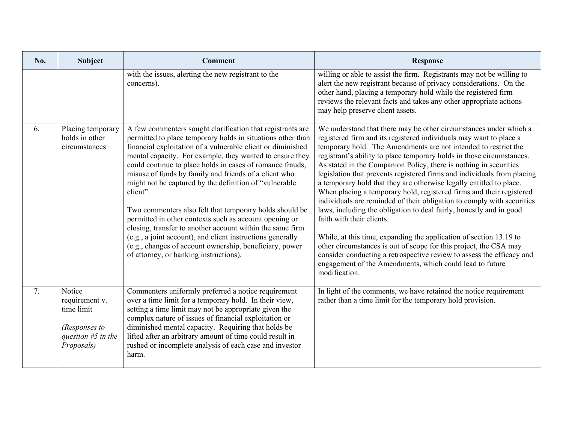| No. | <b>Subject</b>                                                                                | <b>Comment</b>                                                                                                                                                                                                                                                                                                                                                                                                                                                                                                                                                                                                                                                                                                                                                                                         | <b>Response</b>                                                                                                                                                                                                                                                                                                                                                                                                                                                                                                                                                                                                                                                                                                                                                                                                                                                                                                                                                                                                                                                   |
|-----|-----------------------------------------------------------------------------------------------|--------------------------------------------------------------------------------------------------------------------------------------------------------------------------------------------------------------------------------------------------------------------------------------------------------------------------------------------------------------------------------------------------------------------------------------------------------------------------------------------------------------------------------------------------------------------------------------------------------------------------------------------------------------------------------------------------------------------------------------------------------------------------------------------------------|-------------------------------------------------------------------------------------------------------------------------------------------------------------------------------------------------------------------------------------------------------------------------------------------------------------------------------------------------------------------------------------------------------------------------------------------------------------------------------------------------------------------------------------------------------------------------------------------------------------------------------------------------------------------------------------------------------------------------------------------------------------------------------------------------------------------------------------------------------------------------------------------------------------------------------------------------------------------------------------------------------------------------------------------------------------------|
|     |                                                                                               | with the issues, alerting the new registrant to the<br>concerns).                                                                                                                                                                                                                                                                                                                                                                                                                                                                                                                                                                                                                                                                                                                                      | willing or able to assist the firm. Registrants may not be willing to<br>alert the new registrant because of privacy considerations. On the<br>other hand, placing a temporary hold while the registered firm<br>reviews the relevant facts and takes any other appropriate actions<br>may help preserve client assets.                                                                                                                                                                                                                                                                                                                                                                                                                                                                                                                                                                                                                                                                                                                                           |
| 6.  | Placing temporary<br>holds in other<br>circumstances                                          | A few commenters sought clarification that registrants are<br>permitted to place temporary holds in situations other than<br>financial exploitation of a vulnerable client or diminished<br>mental capacity. For example, they wanted to ensure they<br>could continue to place holds in cases of romance frauds,<br>misuse of funds by family and friends of a client who<br>might not be captured by the definition of "vulnerable"<br>client".<br>Two commenters also felt that temporary holds should be<br>permitted in other contexts such as account opening or<br>closing, transfer to another account within the same firm<br>(e.g., a joint account), and client instructions generally<br>(e.g., changes of account ownership, beneficiary, power<br>of attorney, or banking instructions). | We understand that there may be other circumstances under which a<br>registered firm and its registered individuals may want to place a<br>temporary hold. The Amendments are not intended to restrict the<br>registrant's ability to place temporary holds in those circumstances.<br>As stated in the Companion Policy, there is nothing in securities<br>legislation that prevents registered firms and individuals from placing<br>a temporary hold that they are otherwise legally entitled to place.<br>When placing a temporary hold, registered firms and their registered<br>individuals are reminded of their obligation to comply with securities<br>laws, including the obligation to deal fairly, honestly and in good<br>faith with their clients.<br>While, at this time, expanding the application of section 13.19 to<br>other circumstances is out of scope for this project, the CSA may<br>consider conducting a retrospective review to assess the efficacy and<br>engagement of the Amendments, which could lead to future<br>modification. |
| 7.  | Notice<br>requirement v.<br>time limit<br>(Responses to<br>question $#5$ in the<br>Proposals) | Commenters uniformly preferred a notice requirement<br>over a time limit for a temporary hold. In their view,<br>setting a time limit may not be appropriate given the<br>complex nature of issues of financial exploitation or<br>diminished mental capacity. Requiring that holds be<br>lifted after an arbitrary amount of time could result in<br>rushed or incomplete analysis of each case and investor<br>harm.                                                                                                                                                                                                                                                                                                                                                                                 | In light of the comments, we have retained the notice requirement<br>rather than a time limit for the temporary hold provision.                                                                                                                                                                                                                                                                                                                                                                                                                                                                                                                                                                                                                                                                                                                                                                                                                                                                                                                                   |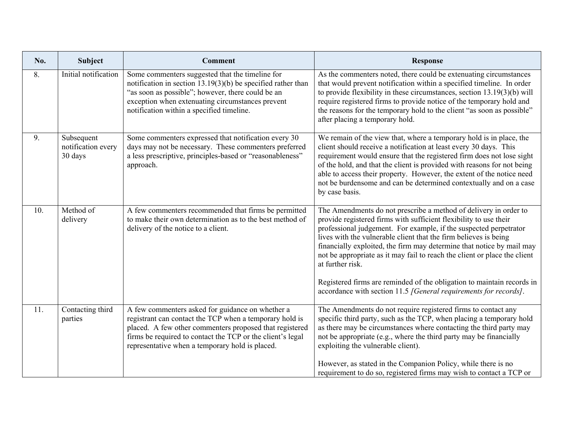| No. | <b>Subject</b>                              | <b>Comment</b>                                                                                                                                                                                                                                                                          | <b>Response</b>                                                                                                                                                                                                                                                                                                                                                                                                                                                                                                                                                                                        |
|-----|---------------------------------------------|-----------------------------------------------------------------------------------------------------------------------------------------------------------------------------------------------------------------------------------------------------------------------------------------|--------------------------------------------------------------------------------------------------------------------------------------------------------------------------------------------------------------------------------------------------------------------------------------------------------------------------------------------------------------------------------------------------------------------------------------------------------------------------------------------------------------------------------------------------------------------------------------------------------|
| 8.  | Initial notification                        | Some commenters suggested that the timeline for<br>notification in section 13.19(3)(b) be specified rather than<br>"as soon as possible"; however, there could be an<br>exception when extenuating circumstances prevent<br>notification within a specified timeline.                   | As the commenters noted, there could be extenuating circumstances<br>that would prevent notification within a specified timeline. In order<br>to provide flexibility in these circumstances, section $13.19(3)(b)$ will<br>require registered firms to provide notice of the temporary hold and<br>the reasons for the temporary hold to the client "as soon as possible"<br>after placing a temporary hold.                                                                                                                                                                                           |
| 9.  | Subsequent<br>notification every<br>30 days | Some commenters expressed that notification every 30<br>days may not be necessary. These commenters preferred<br>a less prescriptive, principles-based or "reasonableness"<br>approach.                                                                                                 | We remain of the view that, where a temporary hold is in place, the<br>client should receive a notification at least every 30 days. This<br>requirement would ensure that the registered firm does not lose sight<br>of the hold, and that the client is provided with reasons for not being<br>able to access their property. However, the extent of the notice need<br>not be burdensome and can be determined contextually and on a case<br>by case basis.                                                                                                                                          |
| 10. | Method of<br>delivery                       | A few commenters recommended that firms be permitted<br>to make their own determination as to the best method of<br>delivery of the notice to a client.                                                                                                                                 | The Amendments do not prescribe a method of delivery in order to<br>provide registered firms with sufficient flexibility to use their<br>professional judgement. For example, if the suspected perpetrator<br>lives with the vulnerable client that the firm believes is being<br>financially exploited, the firm may determine that notice by mail may<br>not be appropriate as it may fail to reach the client or place the client<br>at further risk.<br>Registered firms are reminded of the obligation to maintain records in<br>accordance with section 11.5 [General requirements for records]. |
| 11. | Contacting third<br>parties                 | A few commenters asked for guidance on whether a<br>registrant can contact the TCP when a temporary hold is<br>placed. A few other commenters proposed that registered<br>firms be required to contact the TCP or the client's legal<br>representative when a temporary hold is placed. | The Amendments do not require registered firms to contact any<br>specific third party, such as the TCP, when placing a temporary hold<br>as there may be circumstances where contacting the third party may<br>not be appropriate (e.g., where the third party may be financially<br>exploiting the vulnerable client).<br>However, as stated in the Companion Policy, while there is no<br>requirement to do so, registered firms may wish to contact a TCP or                                                                                                                                        |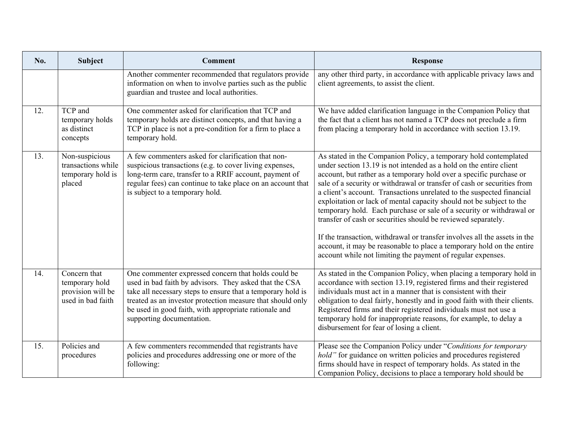| No. | <b>Subject</b>                                                           | <b>Comment</b>                                                                                                                                                                                                                                                                                                                   | <b>Response</b>                                                                                                                                                                                                                                                                                                                                                                                                                                                                                                                                                                                                                                                                                                                                                                                         |
|-----|--------------------------------------------------------------------------|----------------------------------------------------------------------------------------------------------------------------------------------------------------------------------------------------------------------------------------------------------------------------------------------------------------------------------|---------------------------------------------------------------------------------------------------------------------------------------------------------------------------------------------------------------------------------------------------------------------------------------------------------------------------------------------------------------------------------------------------------------------------------------------------------------------------------------------------------------------------------------------------------------------------------------------------------------------------------------------------------------------------------------------------------------------------------------------------------------------------------------------------------|
|     |                                                                          | Another commenter recommended that regulators provide<br>information on when to involve parties such as the public<br>guardian and trustee and local authorities.                                                                                                                                                                | any other third party, in accordance with applicable privacy laws and<br>client agreements, to assist the client.                                                                                                                                                                                                                                                                                                                                                                                                                                                                                                                                                                                                                                                                                       |
| 12. | TCP and<br>temporary holds<br>as distinct<br>concepts                    | One commenter asked for clarification that TCP and<br>temporary holds are distinct concepts, and that having a<br>TCP in place is not a pre-condition for a firm to place a<br>temporary hold.                                                                                                                                   | We have added clarification language in the Companion Policy that<br>the fact that a client has not named a TCP does not preclude a firm<br>from placing a temporary hold in accordance with section 13.19.                                                                                                                                                                                                                                                                                                                                                                                                                                                                                                                                                                                             |
| 13. | Non-suspicious<br>transactions while<br>temporary hold is<br>placed      | A few commenters asked for clarification that non-<br>suspicious transactions (e.g. to cover living expenses,<br>long-term care, transfer to a RRIF account, payment of<br>regular fees) can continue to take place on an account that<br>is subject to a temporary hold.                                                        | As stated in the Companion Policy, a temporary hold contemplated<br>under section 13.19 is not intended as a hold on the entire client<br>account, but rather as a temporary hold over a specific purchase or<br>sale of a security or withdrawal or transfer of cash or securities from<br>a client's account. Transactions unrelated to the suspected financial<br>exploitation or lack of mental capacity should not be subject to the<br>temporary hold. Each purchase or sale of a security or withdrawal or<br>transfer of cash or securities should be reviewed separately.<br>If the transaction, withdrawal or transfer involves all the assets in the<br>account, it may be reasonable to place a temporary hold on the entire<br>account while not limiting the payment of regular expenses. |
| 14. | Concern that<br>temporary hold<br>provision will be<br>used in bad faith | One commenter expressed concern that holds could be<br>used in bad faith by advisors. They asked that the CSA<br>take all necessary steps to ensure that a temporary hold is<br>treated as an investor protection measure that should only<br>be used in good faith, with appropriate rationale and<br>supporting documentation. | As stated in the Companion Policy, when placing a temporary hold in<br>accordance with section 13.19, registered firms and their registered<br>individuals must act in a manner that is consistent with their<br>obligation to deal fairly, honestly and in good faith with their clients.<br>Registered firms and their registered individuals must not use a<br>temporary hold for inappropriate reasons, for example, to delay a<br>disbursement for fear of losing a client.                                                                                                                                                                                                                                                                                                                        |
| 15. | Policies and<br>procedures                                               | A few commenters recommended that registrants have<br>policies and procedures addressing one or more of the<br>following:                                                                                                                                                                                                        | Please see the Companion Policy under "Conditions for temporary<br>hold" for guidance on written policies and procedures registered<br>firms should have in respect of temporary holds. As stated in the<br>Companion Policy, decisions to place a temporary hold should be                                                                                                                                                                                                                                                                                                                                                                                                                                                                                                                             |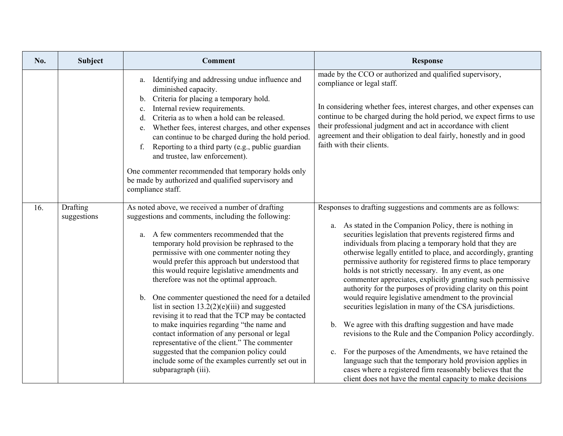| No. | <b>Subject</b>          | <b>Comment</b>                                                                                                                                                                                                                                                                                                                                                                                                                                                                                                                                                                                                                                                                                                                                                                                                                        | <b>Response</b>                                                                                                                                                                                                                                                                                                                                                                                                                                                                                                                                                                                                                                                                                                                                                                                                                                                                                                                                                                                                                                                                             |
|-----|-------------------------|---------------------------------------------------------------------------------------------------------------------------------------------------------------------------------------------------------------------------------------------------------------------------------------------------------------------------------------------------------------------------------------------------------------------------------------------------------------------------------------------------------------------------------------------------------------------------------------------------------------------------------------------------------------------------------------------------------------------------------------------------------------------------------------------------------------------------------------|---------------------------------------------------------------------------------------------------------------------------------------------------------------------------------------------------------------------------------------------------------------------------------------------------------------------------------------------------------------------------------------------------------------------------------------------------------------------------------------------------------------------------------------------------------------------------------------------------------------------------------------------------------------------------------------------------------------------------------------------------------------------------------------------------------------------------------------------------------------------------------------------------------------------------------------------------------------------------------------------------------------------------------------------------------------------------------------------|
|     |                         | Identifying and addressing undue influence and<br>a.<br>diminished capacity.<br>Criteria for placing a temporary hold.<br>b.<br>Internal review requirements.<br>$\mathbf{c}$ .<br>Criteria as to when a hold can be released.<br>d.<br>Whether fees, interest charges, and other expenses<br>e.<br>can continue to be charged during the hold period.<br>f. Reporting to a third party (e.g., public guardian<br>and trustee, law enforcement).<br>One commenter recommended that temporary holds only<br>be made by authorized and qualified supervisory and<br>compliance staff.                                                                                                                                                                                                                                                   | made by the CCO or authorized and qualified supervisory,<br>compliance or legal staff.<br>In considering whether fees, interest charges, and other expenses can<br>continue to be charged during the hold period, we expect firms to use<br>their professional judgment and act in accordance with client<br>agreement and their obligation to deal fairly, honestly and in good<br>faith with their clients.                                                                                                                                                                                                                                                                                                                                                                                                                                                                                                                                                                                                                                                                               |
| 16. | Drafting<br>suggestions | As noted above, we received a number of drafting<br>suggestions and comments, including the following:<br>A few commenters recommended that the<br>a.<br>temporary hold provision be rephrased to the<br>permissive with one commenter noting they<br>would prefer this approach but understood that<br>this would require legislative amendments and<br>therefore was not the optimal approach.<br>b. One commenter questioned the need for a detailed<br>list in section $13.2(2)(e)(iii)$ and suggested<br>revising it to read that the TCP may be contacted<br>to make inquiries regarding "the name and<br>contact information of any personal or legal<br>representative of the client." The commenter<br>suggested that the companion policy could<br>include some of the examples currently set out in<br>subparagraph (iii). | Responses to drafting suggestions and comments are as follows:<br>As stated in the Companion Policy, there is nothing in<br>a.<br>securities legislation that prevents registered firms and<br>individuals from placing a temporary hold that they are<br>otherwise legally entitled to place, and accordingly, granting<br>permissive authority for registered firms to place temporary<br>holds is not strictly necessary. In any event, as one<br>commenter appreciates, explicitly granting such permissive<br>authority for the purposes of providing clarity on this point<br>would require legislative amendment to the provincial<br>securities legislation in many of the CSA jurisdictions.<br>b. We agree with this drafting suggestion and have made<br>revisions to the Rule and the Companion Policy accordingly.<br>For the purposes of the Amendments, we have retained the<br>c.<br>language such that the temporary hold provision applies in<br>cases where a registered firm reasonably believes that the<br>client does not have the mental capacity to make decisions |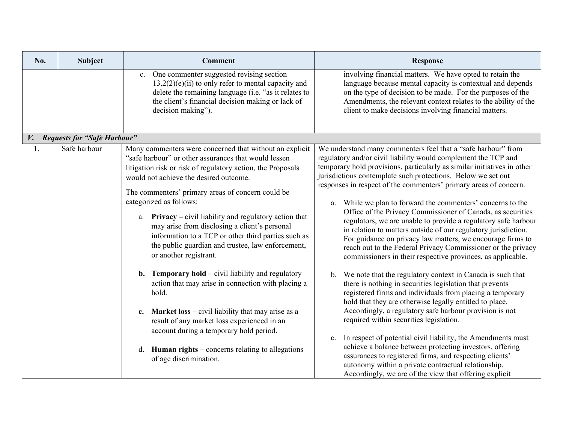| No. | <b>Subject</b>                 | <b>Comment</b>                                                                                                                                                                                                                                                                                                                                                                                                                                                                                                                                                                                                                                                                                                                                                                                                                                                                                                                           | <b>Response</b>                                                                                                                                                                                                                                                                                                                                                                                                                                                                                                                                                                                                                                                                                                                                                                                                                                                                                                                                                                                                                                                                                                                                                                                                                                                                                                                                                                                                                                                                               |
|-----|--------------------------------|------------------------------------------------------------------------------------------------------------------------------------------------------------------------------------------------------------------------------------------------------------------------------------------------------------------------------------------------------------------------------------------------------------------------------------------------------------------------------------------------------------------------------------------------------------------------------------------------------------------------------------------------------------------------------------------------------------------------------------------------------------------------------------------------------------------------------------------------------------------------------------------------------------------------------------------|-----------------------------------------------------------------------------------------------------------------------------------------------------------------------------------------------------------------------------------------------------------------------------------------------------------------------------------------------------------------------------------------------------------------------------------------------------------------------------------------------------------------------------------------------------------------------------------------------------------------------------------------------------------------------------------------------------------------------------------------------------------------------------------------------------------------------------------------------------------------------------------------------------------------------------------------------------------------------------------------------------------------------------------------------------------------------------------------------------------------------------------------------------------------------------------------------------------------------------------------------------------------------------------------------------------------------------------------------------------------------------------------------------------------------------------------------------------------------------------------------|
|     |                                | One commenter suggested revising section<br>c.<br>$13.2(2)(e)(ii)$ to only refer to mental capacity and<br>delete the remaining language (i.e. "as it relates to<br>the client's financial decision making or lack of<br>decision making").                                                                                                                                                                                                                                                                                                                                                                                                                                                                                                                                                                                                                                                                                              | involving financial matters. We have opted to retain the<br>language because mental capacity is contextual and depends<br>on the type of decision to be made. For the purposes of the<br>Amendments, the relevant context relates to the ability of the<br>client to make decisions involving financial matters.                                                                                                                                                                                                                                                                                                                                                                                                                                                                                                                                                                                                                                                                                                                                                                                                                                                                                                                                                                                                                                                                                                                                                                              |
|     | V. Requests for "Safe Harbour" |                                                                                                                                                                                                                                                                                                                                                                                                                                                                                                                                                                                                                                                                                                                                                                                                                                                                                                                                          |                                                                                                                                                                                                                                                                                                                                                                                                                                                                                                                                                                                                                                                                                                                                                                                                                                                                                                                                                                                                                                                                                                                                                                                                                                                                                                                                                                                                                                                                                               |
|     | Safe harbour                   | Many commenters were concerned that without an explicit<br>"safe harbour" or other assurances that would lessen<br>litigation risk or risk of regulatory action, the Proposals<br>would not achieve the desired outcome.<br>The commenters' primary areas of concern could be<br>categorized as follows:<br>a. <b>Privacy</b> – civil liability and regulatory action that<br>may arise from disclosing a client's personal<br>information to a TCP or other third parties such as<br>the public guardian and trustee, law enforcement,<br>or another registrant.<br><b>b.</b> Temporary hold – civil liability and regulatory<br>action that may arise in connection with placing a<br>hold.<br>c. Market $loss - civil$ liability that may arise as a<br>result of any market loss experienced in an<br>account during a temporary hold period.<br>d. <b>Human rights</b> – concerns relating to allegations<br>of age discrimination. | We understand many commenters feel that a "safe harbour" from<br>regulatory and/or civil liability would complement the TCP and<br>temporary hold provisions, particularly as similar initiatives in other<br>jurisdictions contemplate such protections. Below we set out<br>responses in respect of the commenters' primary areas of concern.<br>While we plan to forward the commenters' concerns to the<br>a.<br>Office of the Privacy Commissioner of Canada, as securities<br>regulators, we are unable to provide a regulatory safe harbour<br>in relation to matters outside of our regulatory jurisdiction.<br>For guidance on privacy law matters, we encourage firms to<br>reach out to the Federal Privacy Commissioner or the privacy<br>commissioners in their respective provinces, as applicable.<br>We note that the regulatory context in Canada is such that<br>b.<br>there is nothing in securities legislation that prevents<br>registered firms and individuals from placing a temporary<br>hold that they are otherwise legally entitled to place.<br>Accordingly, a regulatory safe harbour provision is not<br>required within securities legislation.<br>In respect of potential civil liability, the Amendments must<br>c.<br>achieve a balance between protecting investors, offering<br>assurances to registered firms, and respecting clients'<br>autonomy within a private contractual relationship.<br>Accordingly, we are of the view that offering explicit |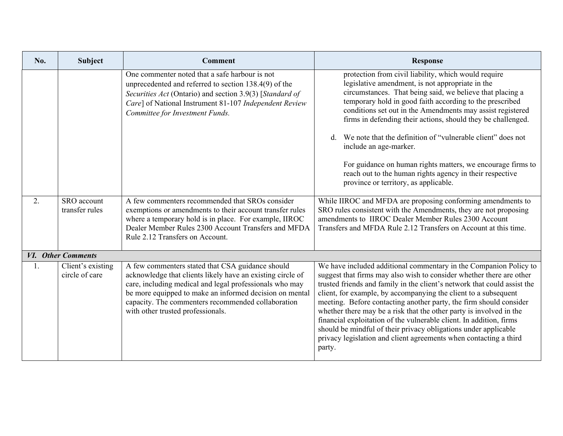| No. | <b>Subject</b>                      | <b>Comment</b>                                                                                                                                                                                                                                                                                                                  | <b>Response</b>                                                                                                                                                                                                                                                                                                                                                                                                                                                                                                                                                                                                                                                |
|-----|-------------------------------------|---------------------------------------------------------------------------------------------------------------------------------------------------------------------------------------------------------------------------------------------------------------------------------------------------------------------------------|----------------------------------------------------------------------------------------------------------------------------------------------------------------------------------------------------------------------------------------------------------------------------------------------------------------------------------------------------------------------------------------------------------------------------------------------------------------------------------------------------------------------------------------------------------------------------------------------------------------------------------------------------------------|
|     |                                     | One commenter noted that a safe harbour is not<br>unprecedented and referred to section 138.4(9) of the<br>Securities Act (Ontario) and section 3.9(3) [Standard of<br>Care] of National Instrument 81-107 Independent Review<br>Committee for Investment Funds.                                                                | protection from civil liability, which would require<br>legislative amendment, is not appropriate in the<br>circumstances. That being said, we believe that placing a<br>temporary hold in good faith according to the prescribed<br>conditions set out in the Amendments may assist registered<br>firms in defending their actions, should they be challenged.<br>We note that the definition of "vulnerable client" does not<br>include an age-marker.<br>For guidance on human rights matters, we encourage firms to<br>reach out to the human rights agency in their respective<br>province or territory, as applicable.                                   |
| 2.  | SRO account<br>transfer rules       | A few commenters recommended that SROs consider<br>exemptions or amendments to their account transfer rules<br>where a temporary hold is in place. For example, IIROC<br>Dealer Member Rules 2300 Account Transfers and MFDA<br>Rule 2.12 Transfers on Account.                                                                 | While IIROC and MFDA are proposing conforming amendments to<br>SRO rules consistent with the Amendments, they are not proposing<br>amendments to IIROC Dealer Member Rules 2300 Account<br>Transfers and MFDA Rule 2.12 Transfers on Account at this time.                                                                                                                                                                                                                                                                                                                                                                                                     |
|     | VI. Other Comments                  |                                                                                                                                                                                                                                                                                                                                 |                                                                                                                                                                                                                                                                                                                                                                                                                                                                                                                                                                                                                                                                |
|     | Client's existing<br>circle of care | A few commenters stated that CSA guidance should<br>acknowledge that clients likely have an existing circle of<br>care, including medical and legal professionals who may<br>be more equipped to make an informed decision on mental<br>capacity. The commenters recommended collaboration<br>with other trusted professionals. | We have included additional commentary in the Companion Policy to<br>suggest that firms may also wish to consider whether there are other<br>trusted friends and family in the client's network that could assist the<br>client, for example, by accompanying the client to a subsequent<br>meeting. Before contacting another party, the firm should consider<br>whether there may be a risk that the other party is involved in the<br>financial exploitation of the vulnerable client. In addition, firms<br>should be mindful of their privacy obligations under applicable<br>privacy legislation and client agreements when contacting a third<br>party. |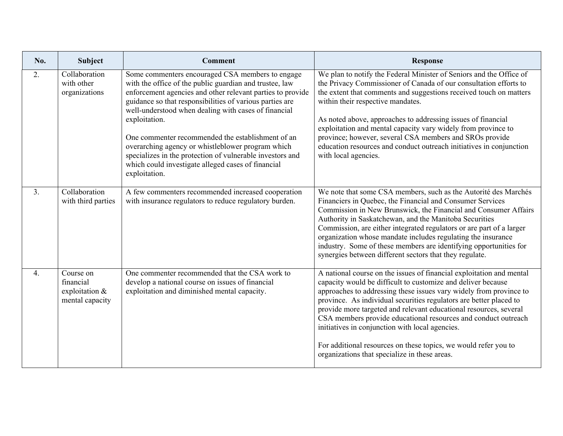| No.              | Subject                                                     | <b>Comment</b>                                                                                                                                                                                                                                                                                                                                                                                                                                                                                                                                               | <b>Response</b>                                                                                                                                                                                                                                                                                                                                                                                                                                                                                                                                                                                |
|------------------|-------------------------------------------------------------|--------------------------------------------------------------------------------------------------------------------------------------------------------------------------------------------------------------------------------------------------------------------------------------------------------------------------------------------------------------------------------------------------------------------------------------------------------------------------------------------------------------------------------------------------------------|------------------------------------------------------------------------------------------------------------------------------------------------------------------------------------------------------------------------------------------------------------------------------------------------------------------------------------------------------------------------------------------------------------------------------------------------------------------------------------------------------------------------------------------------------------------------------------------------|
| 2.               | Collaboration<br>with other<br>organizations                | Some commenters encouraged CSA members to engage<br>with the office of the public guardian and trustee, law<br>enforcement agencies and other relevant parties to provide<br>guidance so that responsibilities of various parties are<br>well-understood when dealing with cases of financial<br>exploitation.<br>One commenter recommended the establishment of an<br>overarching agency or whistleblower program which<br>specializes in the protection of vulnerable investors and<br>which could investigate alleged cases of financial<br>exploitation. | We plan to notify the Federal Minister of Seniors and the Office of<br>the Privacy Commissioner of Canada of our consultation efforts to<br>the extent that comments and suggestions received touch on matters<br>within their respective mandates.<br>As noted above, approaches to addressing issues of financial<br>exploitation and mental capacity vary widely from province to<br>province; however, several CSA members and SROs provide<br>education resources and conduct outreach initiatives in conjunction<br>with local agencies.                                                 |
| 3.               | Collaboration<br>with third parties                         | A few commenters recommended increased cooperation<br>with insurance regulators to reduce regulatory burden.                                                                                                                                                                                                                                                                                                                                                                                                                                                 | We note that some CSA members, such as the Autorité des Marchés<br>Financiers in Quebec, the Financial and Consumer Services<br>Commission in New Brunswick, the Financial and Consumer Affairs<br>Authority in Saskatchewan, and the Manitoba Securities<br>Commission, are either integrated regulators or are part of a larger<br>organization whose mandate includes regulating the insurance<br>industry. Some of these members are identifying opportunities for<br>synergies between different sectors that they regulate.                                                              |
| $\overline{4}$ . | Course on<br>financial<br>exploitation &<br>mental capacity | One commenter recommended that the CSA work to<br>develop a national course on issues of financial<br>exploitation and diminished mental capacity.                                                                                                                                                                                                                                                                                                                                                                                                           | A national course on the issues of financial exploitation and mental<br>capacity would be difficult to customize and deliver because<br>approaches to addressing these issues vary widely from province to<br>province. As individual securities regulators are better placed to<br>provide more targeted and relevant educational resources, several<br>CSA members provide educational resources and conduct outreach<br>initiatives in conjunction with local agencies.<br>For additional resources on these topics, we would refer you to<br>organizations that specialize in these areas. |